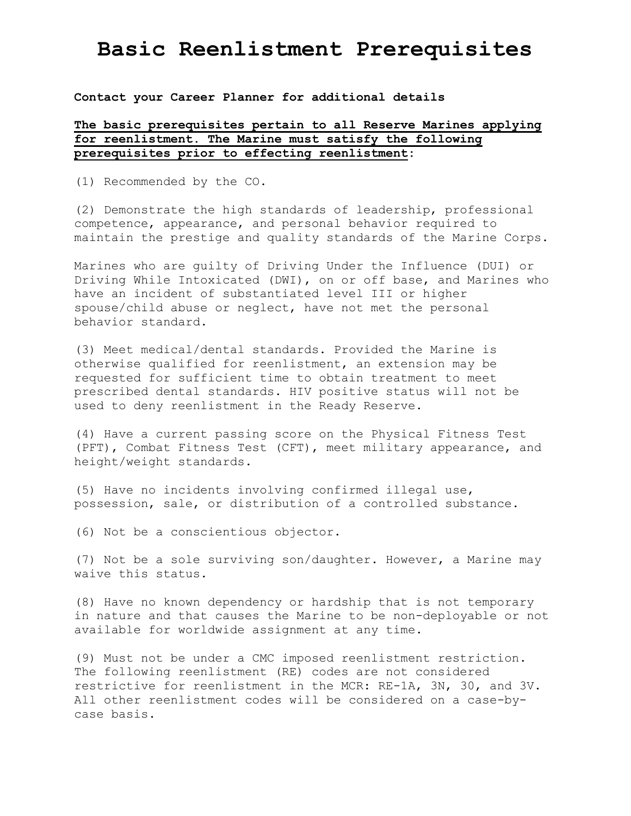### **Contact your Career Planner for additional details**

### **The basic prerequisites pertain to all Reserve Marines applying for reenlistment. The Marine must satisfy the following prerequisites prior to effecting reenlistment:**

(1) Recommended by the CO.

(2) Demonstrate the high standards of leadership, professional competence, appearance, and personal behavior required to maintain the prestige and quality standards of the Marine Corps.

Marines who are guilty of Driving Under the Influence (DUI) or Driving While Intoxicated (DWI), on or off base, and Marines who have an incident of substantiated level III or higher spouse/child abuse or neglect, have not met the personal behavior standard.

(3) Meet medical/dental standards. Provided the Marine is otherwise qualified for reenlistment, an extension may be requested for sufficient time to obtain treatment to meet prescribed dental standards. HIV positive status will not be used to deny reenlistment in the Ready Reserve.

(4) Have a current passing score on the Physical Fitness Test (PFT), Combat Fitness Test (CFT), meet military appearance, and height/weight standards.

(5) Have no incidents involving confirmed illegal use, possession, sale, or distribution of a controlled substance.

(6) Not be a conscientious objector.

(7) Not be a sole surviving son/daughter. However, a Marine may waive this status.

(8) Have no known dependency or hardship that is not temporary in nature and that causes the Marine to be non-deployable or not available for worldwide assignment at any time.

(9) Must not be under a CMC imposed reenlistment restriction. The following reenlistment (RE) codes are not considered restrictive for reenlistment in the MCR: RE-1A, 3N, 30, and 3V. All other reenlistment codes will be considered on a case-bycase basis.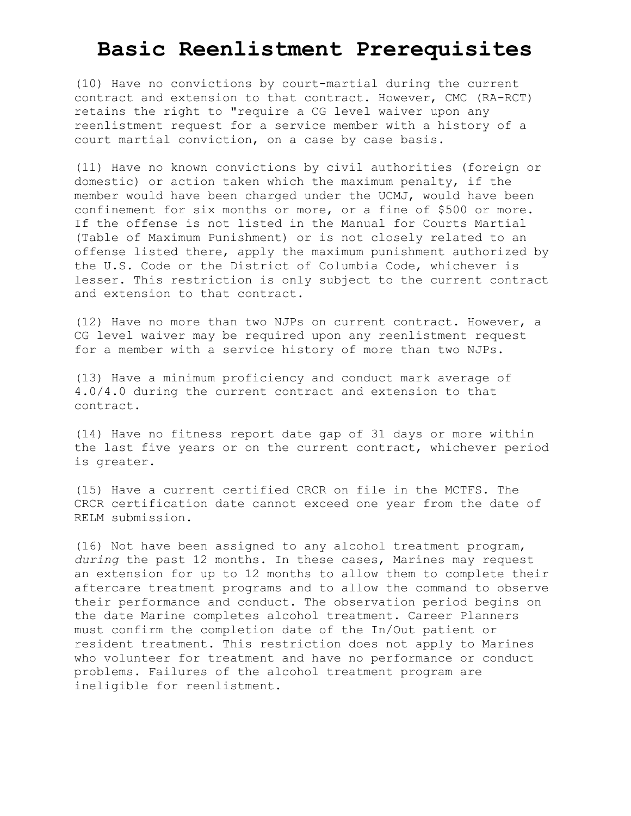(10) Have no convictions by court-martial during the current contract and extension to that contract. However, CMC (RA-RCT) retains the right to "require a CG level waiver upon any reenlistment request for a service member with a history of a court martial conviction, on a case by case basis.

(11) Have no known convictions by civil authorities (foreign or domestic) or action taken which the maximum penalty, if the member would have been charged under the UCMJ, would have been confinement for six months or more, or a fine of \$500 or more. If the offense is not listed in the Manual for Courts Martial (Table of Maximum Punishment) or is not closely related to an offense listed there, apply the maximum punishment authorized by the U.S. Code or the District of Columbia Code, whichever is lesser. This restriction is only subject to the current contract and extension to that contract.

(12) Have no more than two NJPs on current contract. However, a CG level waiver may be required upon any reenlistment request for a member with a service history of more than two NJPs.

(13) Have a minimum proficiency and conduct mark average of 4.0/4.0 during the current contract and extension to that contract.

(14) Have no fitness report date gap of 31 days or more within the last five years or on the current contract, whichever period is greater.

(15) Have a current certified CRCR on file in the MCTFS. The CRCR certification date cannot exceed one year from the date of RELM submission.

(16) Not have been assigned to any alcohol treatment program, *during* the past 12 months. In these cases, Marines may request an extension for up to 12 months to allow them to complete their aftercare treatment programs and to allow the command to observe their performance and conduct. The observation period begins on the date Marine completes alcohol treatment. Career Planners must confirm the completion date of the In/Out patient or resident treatment. This restriction does not apply to Marines who volunteer for treatment and have no performance or conduct problems. Failures of the alcohol treatment program are ineligible for reenlistment.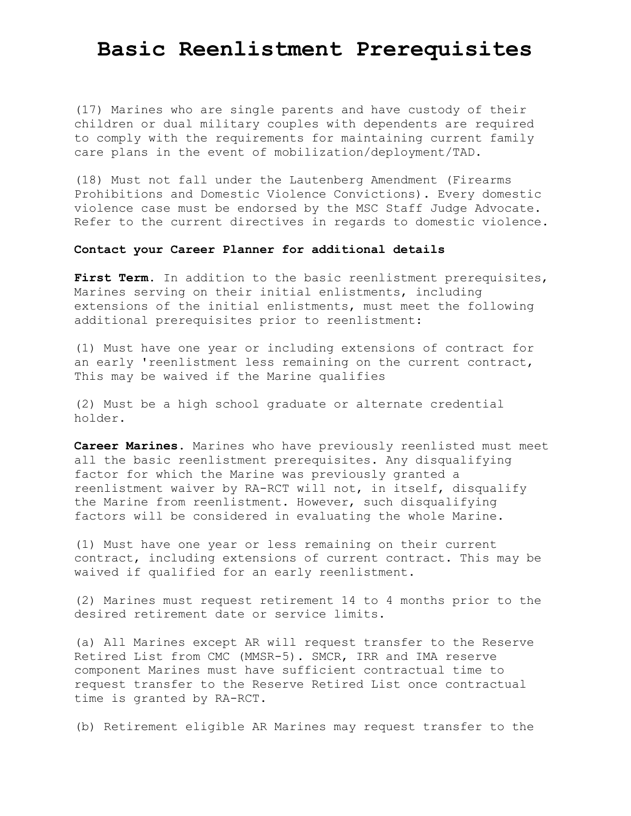(17) Marines who are single parents and have custody of their children or dual military couples with dependents are required to comply with the requirements for maintaining current family care plans in the event of mobilization/deployment/TAD.

(18) Must not fall under the Lautenberg Amendment (Firearms Prohibitions and Domestic Violence Convictions). Every domestic violence case must be endorsed by the MSC Staff Judge Advocate. Refer to the current directives in regards to domestic violence.

#### **Contact your Career Planner for additional details**

First Term. In addition to the basic reenlistment prerequisites, Marines serving on their initial enlistments, including extensions of the initial enlistments, must meet the following additional prerequisites prior to reenlistment:

(1) Must have one year or including extensions of contract for an early 'reenlistment less remaining on the current contract, This may be waived if the Marine qualifies

(2) Must be a high school graduate or alternate credential holder.

**Career Marines**. Marines who have previously reenlisted must meet all the basic reenlistment prerequisites. Any disqualifying factor for which the Marine was previously granted a reenlistment waiver by RA-RCT will not, in itself, disqualify the Marine from reenlistment. However, such disqualifying factors will be considered in evaluating the whole Marine.

(1) Must have one year or less remaining on their current contract, including extensions of current contract. This may be waived if qualified for an early reenlistment.

(2) Marines must request retirement 14 to 4 months prior to the desired retirement date or service limits.

(a) All Marines except AR will request transfer to the Reserve Retired List from CMC (MMSR-5). SMCR, IRR and IMA reserve component Marines must have sufficient contractual time to request transfer to the Reserve Retired List once contractual time is granted by RA-RCT.

(b) Retirement eligible AR Marines may request transfer to the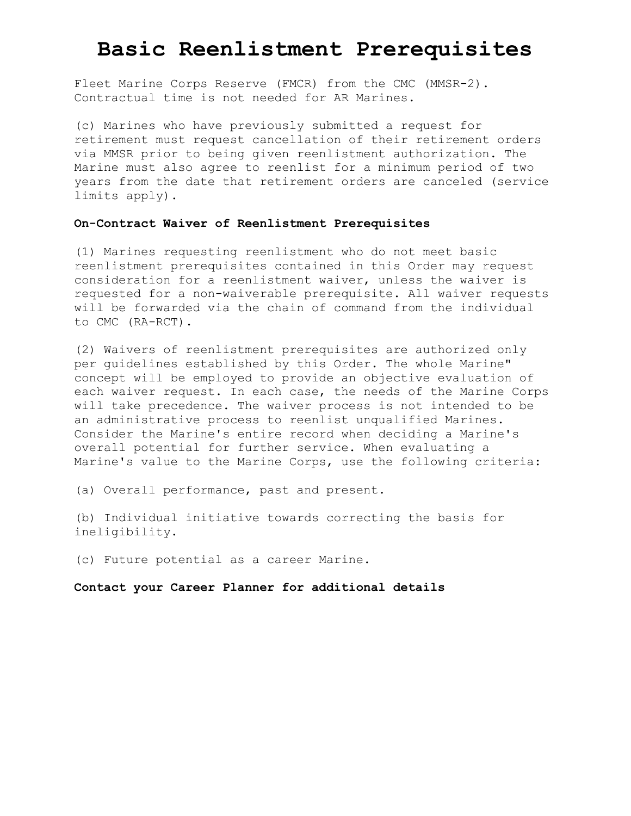Fleet Marine Corps Reserve (FMCR) from the CMC (MMSR-2). Contractual time is not needed for AR Marines.

(c) Marines who have previously submitted a request for retirement must request cancellation of their retirement orders via MMSR prior to being given reenlistment authorization. The Marine must also agree to reenlist for a minimum period of two years from the date that retirement orders are canceled (service limits apply).

### **On-Contract Waiver of Reenlistment Prerequisites**

(1) Marines requesting reenlistment who do not meet basic reenlistment prerequisites contained in this Order may request consideration for a reenlistment waiver, unless the waiver is requested for a non-waiverable prerequisite. All waiver requests will be forwarded via the chain of command from the individual to CMC (RA-RCT).

(2) Waivers of reenlistment prerequisites are authorized only per guidelines established by this Order. The whole Marine" concept will be employed to provide an objective evaluation of each waiver request. In each case, the needs of the Marine Corps will take precedence. The waiver process is not intended to be an administrative process to reenlist unqualified Marines. Consider the Marine's entire record when deciding a Marine's overall potential for further service. When evaluating a Marine's value to the Marine Corps, use the following criteria:

(a) Overall performance, past and present.

(b) Individual initiative towards correcting the basis for ineligibility.

(c) Future potential as a career Marine.

**Contact your Career Planner for additional details**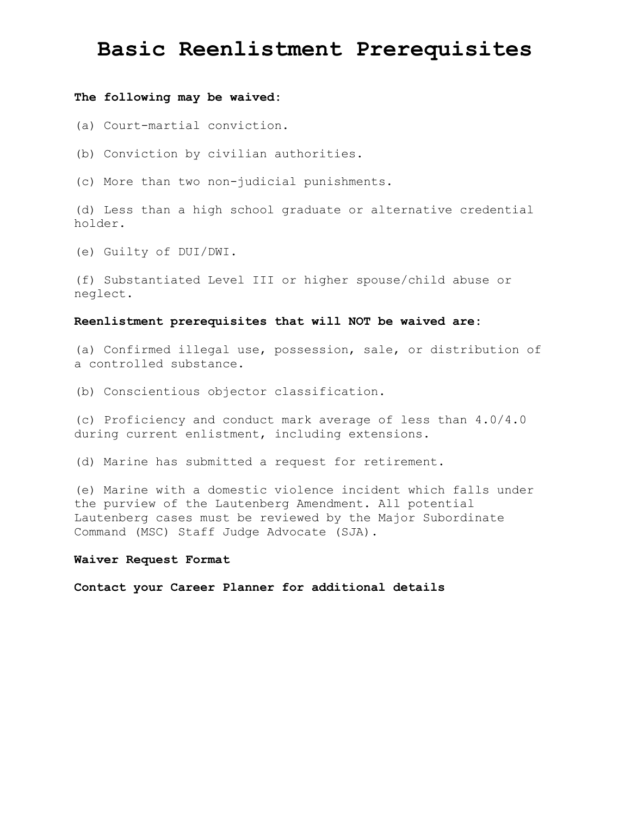#### **The following may be waived:**

(a) Court-martial conviction.

(b) Conviction by civilian authorities.

(c) More than two non-judicial punishments.

(d) Less than a high school graduate or alternative credential holder.

(e) Guilty of DUI/DWI.

(f) Substantiated Level III or higher spouse/child abuse or neglect.

#### **Reenlistment prerequisites that will NOT be waived are:**

(a) Confirmed illegal use, possession, sale, or distribution of a controlled substance.

(b) Conscientious objector classification.

(c) Proficiency and conduct mark average of less than 4.0/4.0 during current enlistment, including extensions.

(d) Marine has submitted a request for retirement.

(e) Marine with a domestic violence incident which falls under the purview of the Lautenberg Amendment. All potential Lautenberg cases must be reviewed by the Major Subordinate Command (MSC) Staff Judge Advocate (SJA).

### **Waiver Request Format**

**Contact your Career Planner for additional details**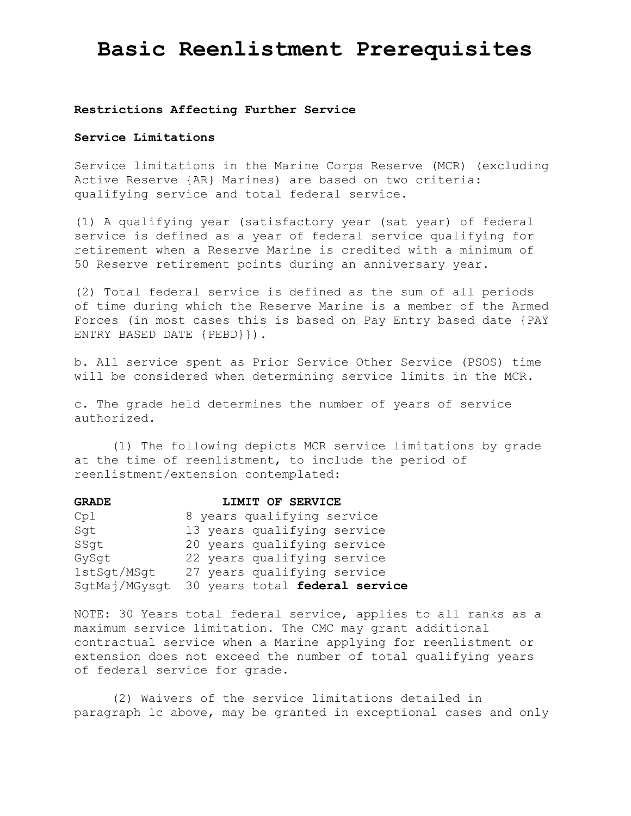#### **Restrictions Affecting Further Service**

#### **Service Limitations**

Service limitations in the Marine Corps Reserve (MCR) (excluding Active Reserve {AR} Marines) are based on two criteria: qualifying service and total federal service.

(1) A qualifying year (satisfactory year (sat year) of federal service is defined as a year of federal service qualifying for retirement when a Reserve Marine is credited with a minimum of 50 Reserve retirement points during an anniversary year.

(2) Total federal service is defined as the sum of all periods of time during which the Reserve Marine is a member of the Armed Forces (in most cases this is based on Pay Entry based date {PAY ENTRY BASED DATE {PEBD}}).

b. All service spent as Prior Service Other Service (PSOS) time will be considered when determining service limits in the MCR.

c. The grade held determines the number of years of service authorized.

(1) The following depicts MCR service limitations by grade at the time of reenlistment, to include the period of reenlistment/extension contemplated:

| <b>GRADE</b>  | LIMIT OF SERVICE               |
|---------------|--------------------------------|
| Cp1           | 8 years qualifying service     |
| Sqt           | 13 years qualifying service    |
| SSqt          | 20 years qualifying service    |
| GySqt         | 22 years qualifying service    |
| 1stSqt/MSqt   | 27 years qualifying service    |
| SqtMaj/MGysqt | 30 years total federal service |

NOTE: 30 Years total federal service, applies to all ranks as a maximum service limitation. The CMC may grant additional contractual service when a Marine applying for reenlistment or extension does not exceed the number of total qualifying years of federal service for grade.

(2) Waivers of the service limitations detailed in paragraph 1c above, may be granted in exceptional cases and only